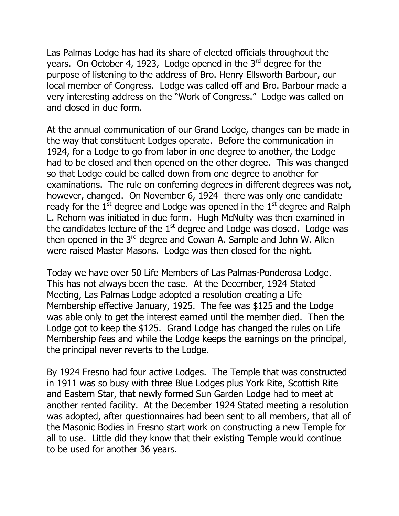Las Palmas Lodge has had its share of elected officials throughout the years. On October 4, 1923, Lodge opened in the  $3<sup>rd</sup>$  degree for the purpose of listening to the address of Bro. Henry Ellsworth Barbour, our local member of Congress. Lodge was called off and Bro. Barbour made a very interesting address on the "Work of Congress." Lodge was called on and closed in due form.

At the annual communication of our Grand Lodge, changes can be made in the way that constituent Lodges operate. Before the communication in 1924, for a Lodge to go from labor in one degree to another, the Lodge had to be closed and then opened on the other degree. This was changed so that Lodge could be called down from one degree to another for examinations. The rule on conferring degrees in different degrees was not, however, changed. On November 6, 1924 there was only one candidate ready for the  $1^{\overline{st}}$  degree and Lodge was opened in the  $1^{\overline{st}}$  degree and Ralph L. Rehorn was initiated in due form. Hugh McNulty was then examined in the candidates lecture of the  $1<sup>st</sup>$  degree and Lodge was closed. Lodge was then opened in the  $3<sup>rd</sup>$  degree and Cowan A. Sample and John W. Allen were raised Master Masons. Lodge was then closed for the night.

Today we have over 50 Life Members of Las Palmas-Ponderosa Lodge. This has not always been the case. At the December, 1924 Stated Meeting, Las Palmas Lodge adopted a resolution creating a Life Membership effective January, 1925. The fee was \$125 and the Lodge was able only to get the interest earned until the member died. Then the Lodge got to keep the \$125. Grand Lodge has changed the rules on Life Membership fees and while the Lodge keeps the earnings on the principal, the principal never reverts to the Lodge.

By 1924 Fresno had four active Lodges. The Temple that was constructed in 1911 was so busy with three Blue Lodges plus York Rite, Scottish Rite and Eastern Star, that newly formed Sun Garden Lodge had to meet at another rented facility. At the December 1924 Stated meeting a resolution was adopted, after questionnaires had been sent to all members, that all of the Masonic Bodies in Fresno start work on constructing a new Temple for all to use. Little did they know that their existing Temple would continue to be used for another 36 years.